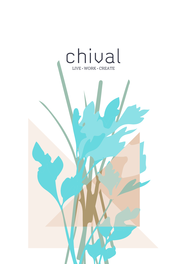